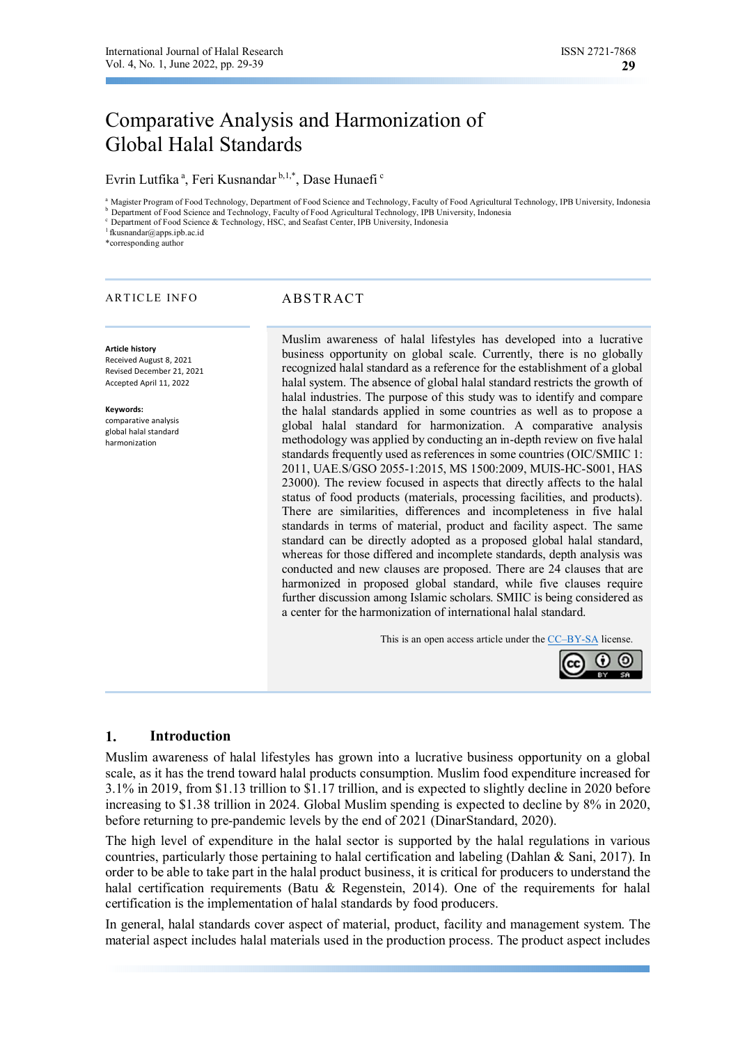# Comparative Analysis and Harmonization of Global Halal Standards

Evrin Lutfika<sup>a</sup>, Feri Kusnandar<sup>b,1,\*</sup>, Dase Hunaefi<sup>c</sup>

<sup>a</sup>Magister Program of Food Technology, Department of Food Science and Technology, Faculty of Food Agricultural Technology, IPB University, Indonesia <sup>b</sup> Department of Food Science and Technology, Faculty of Food Agricultural Technology, IPB University, Indonesia

<sup>c</sup> Department of Food Science & Technology, HSC, and Seafast Center, IPB University, Indonesia

<sup>1</sup>fkusnandar@apps.ipb.ac.id

\*corresponding author

#### ARTICLE INFO ABSTRACT

**Article history**  Received August 8, 2021

Revised December 21, 2021 Accepted April 11, 2022

**Keywords:**  comparative analysis global halal standard harmonization

Muslim awareness of halal lifestyles has developed into a lucrative business opportunity on global scale. Currently, there is no globally recognized halal standard as a reference for the establishment of a global halal system. The absence of global halal standard restricts the growth of halal industries. The purpose of this study was to identify and compare the halal standards applied in some countries as well as to propose a global halal standard for harmonization. A comparative analysis methodology was applied by conducting an in-depth review on five halal standards frequently used as references in some countries (OIC/SMIIC 1: 2011, UAE.S/GSO 2055-1:2015, MS 1500:2009, MUIS-HC-S001, HAS 23000). The review focused in aspects that directly affects to the halal status of food products (materials, processing facilities, and products). There are similarities, differences and incompleteness in five halal standards in terms of material, product and facility aspect. The same standard can be directly adopted as a proposed global halal standard, whereas for those differed and incomplete standards, depth analysis was conducted and new clauses are proposed. There are 24 clauses that are harmonized in proposed global standard, while five clauses require further discussion among Islamic scholars. SMIIC is being considered as a center for the harmonization of international halal standard.

This is an open access article under the CC–BY-SA license.



## **1. Introduction**

Muslim awareness of halal lifestyles has grown into a lucrative business opportunity on a global scale, as it has the trend toward halal products consumption. Muslim food expenditure increased for 3.1% in 2019, from \$1.13 trillion to \$1.17 trillion, and is expected to slightly decline in 2020 before increasing to \$1.38 trillion in 2024. Global Muslim spending is expected to decline by 8% in 2020, before returning to pre-pandemic levels by the end of 2021 (DinarStandard, 2020).

The high level of expenditure in the halal sector is supported by the halal regulations in various countries, particularly those pertaining to halal certification and labeling (Dahlan & Sani, 2017). In order to be able to take part in the halal product business, it is critical for producers to understand the halal certification requirements (Batu & Regenstein, 2014). One of the requirements for halal certification is the implementation of halal standards by food producers.

In general, halal standards cover aspect of material, product, facility and management system. The material aspect includes halal materials used in the production process. The product aspect includes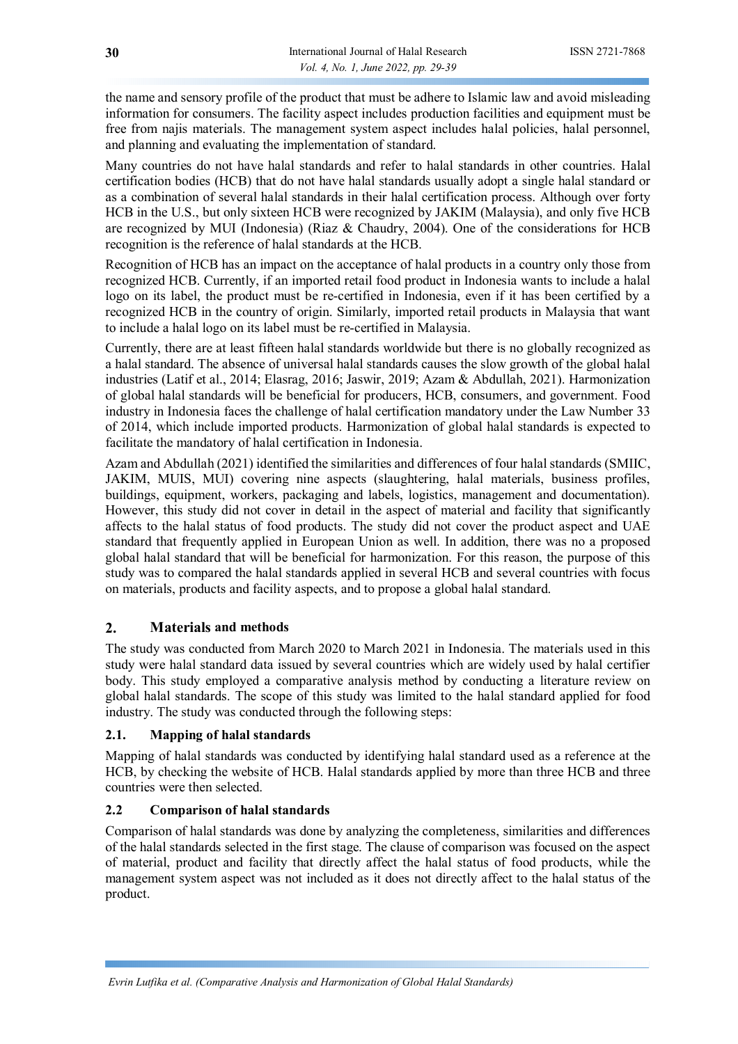the name and sensory profile of the product that must be adhere to Islamic law and avoid misleading information for consumers. The facility aspect includes production facilities and equipment must be free from najis materials. The management system aspect includes halal policies, halal personnel, and planning and evaluating the implementation of standard.

Many countries do not have halal standards and refer to halal standards in other countries. Halal certification bodies (HCB) that do not have halal standards usually adopt a single halal standard or as a combination of several halal standards in their halal certification process. Although over forty HCB in the U.S., but only sixteen HCB were recognized by JAKIM (Malaysia), and only five HCB are recognized by MUI (Indonesia) (Riaz & Chaudry, 2004). One of the considerations for HCB recognition is the reference of halal standards at the HCB.

Recognition of HCB has an impact on the acceptance of halal products in a country only those from recognized HCB. Currently, if an imported retail food product in Indonesia wants to include a halal logo on its label, the product must be re-certified in Indonesia, even if it has been certified by a recognized HCB in the country of origin. Similarly, imported retail products in Malaysia that want to include a halal logo on its label must be re-certified in Malaysia.

Currently, there are at least fifteen halal standards worldwide but there is no globally recognized as a halal standard. The absence of universal halal standards causes the slow growth of the global halal industries (Latif et al., 2014; Elasrag, 2016; Jaswir, 2019; Azam & Abdullah, 2021). Harmonization of global halal standards will be beneficial for producers, HCB, consumers, and government. Food industry in Indonesia faces the challenge of halal certification mandatory under the Law Number 33 of 2014, which include imported products. Harmonization of global halal standards is expected to facilitate the mandatory of halal certification in Indonesia.

Azam and Abdullah (2021) identified the similarities and differences of four halal standards (SMIIC, JAKIM, MUIS, MUI) covering nine aspects (slaughtering, halal materials, business profiles, buildings, equipment, workers, packaging and labels, logistics, management and documentation). However, this study did not cover in detail in the aspect of material and facility that significantly affects to the halal status of food products. The study did not cover the product aspect and UAE standard that frequently applied in European Union as well. In addition, there was no a proposed global halal standard that will be beneficial for harmonization. For this reason, the purpose of this study was to compared the halal standards applied in several HCB and several countries with focus on materials, products and facility aspects, and to propose a global halal standard.

# **2. Materials and methods**

The study was conducted from March 2020 to March 2021 in Indonesia. The materials used in this study were halal standard data issued by several countries which are widely used by halal certifier body. This study employed a comparative analysis method by conducting a literature review on global halal standards. The scope of this study was limited to the halal standard applied for food industry. The study was conducted through the following steps:

## **2.1. Mapping of halal standards**

Mapping of halal standards was conducted by identifying halal standard used as a reference at the HCB, by checking the website of HCB. Halal standards applied by more than three HCB and three countries were then selected.

## **2.2 Comparison of halal standards**

Comparison of halal standards was done by analyzing the completeness, similarities and differences of the halal standards selected in the first stage. The clause of comparison was focused on the aspect of material, product and facility that directly affect the halal status of food products, while the management system aspect was not included as it does not directly affect to the halal status of the product.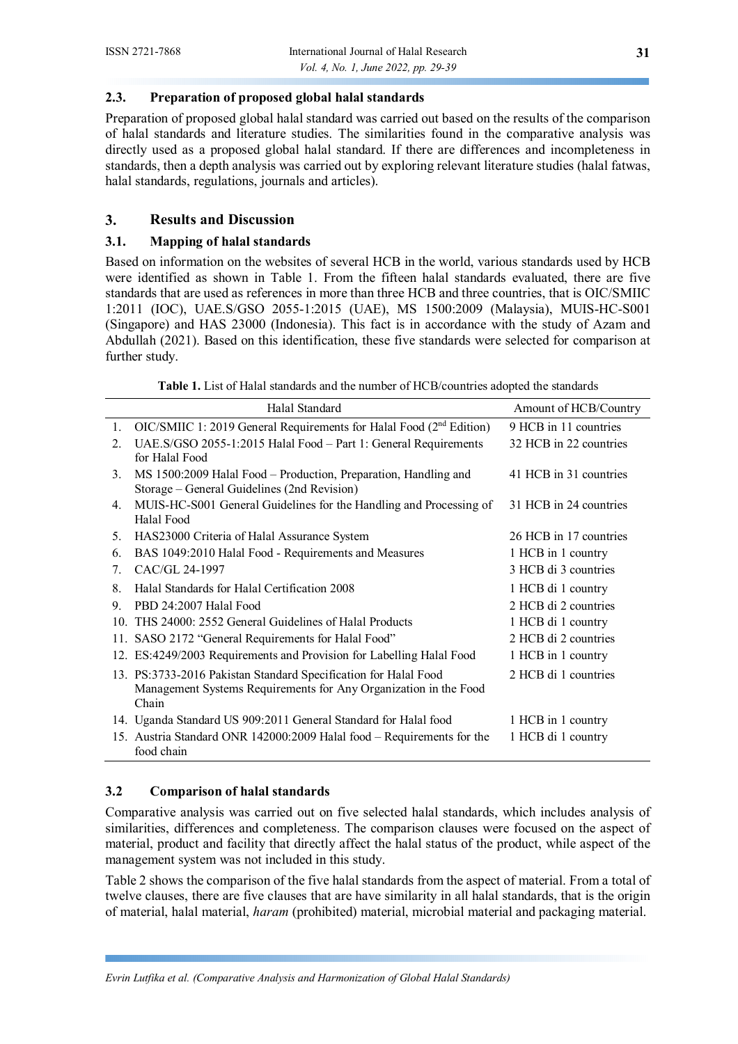# **2.3. Preparation of proposed global halal standards**

Preparation of proposed global halal standard was carried out based on the results of the comparison of halal standards and literature studies. The similarities found in the comparative analysis was directly used as a proposed global halal standard. If there are differences and incompleteness in standards, then a depth analysis was carried out by exploring relevant literature studies (halal fatwas, halal standards, regulations, journals and articles).

# **3. Results and Discussion**

# **3.1. Mapping of halal standards**

Based on information on the websites of several HCB in the world, various standards used by HCB were identified as shown in Table 1. From the fifteen halal standards evaluated, there are five standards that are used as references in more than three HCB and three countries, that is OIC/SMIIC 1:2011 (IOC), UAE.S/GSO 2055-1:2015 (UAE), MS 1500:2009 (Malaysia), MUIS-HC-S001 (Singapore) and HAS 23000 (Indonesia). This fact is in accordance with the study of Azam and Abdullah (2021). Based on this identification, these five standards were selected for comparison at further study.

**Table 1.** List of Halal standards and the number of HCB/countries adopted the standards

|                 | Halal Standard                                                                   | Amount of HCB/Country  |
|-----------------|----------------------------------------------------------------------------------|------------------------|
| 1.              | OIC/SMIIC 1: 2019 General Requirements for Halal Food (2 <sup>nd</sup> Edition)  | 9 HCB in 11 countries  |
| 2.              | UAE.S/GSO 2055-1:2015 Halal Food - Part 1: General Requirements                  | 32 HCB in 22 countries |
|                 | for Halal Food                                                                   |                        |
| 3.              | MS 1500:2009 Halal Food – Production, Preparation, Handling and                  | 41 HCB in 31 countries |
|                 | Storage – General Guidelines (2nd Revision)                                      |                        |
| 4.              | MUIS-HC-S001 General Guidelines for the Handling and Processing of<br>Halal Food | 31 HCB in 24 countries |
| 5.              | HAS23000 Criteria of Halal Assurance System                                      | 26 HCB in 17 countries |
| 6.              | BAS 1049:2010 Halal Food - Requirements and Measures                             | 1 HCB in 1 country     |
| 7.              | CAC/GL 24-1997                                                                   | 3 HCB di 3 countries   |
| 8.              | Halal Standards for Halal Certification 2008                                     | 1 HCB di 1 country     |
| 9.              | PBD 24:2007 Halal Food                                                           | 2 HCB di 2 countries   |
| 10 <sub>1</sub> | THS 24000: 2552 General Guidelines of Halal Products                             | 1 HCB di 1 country     |
|                 | 11. SASO 2172 "General Requirements for Halal Food"                              | 2 HCB di 2 countries   |
|                 | 12. ES:4249/2003 Requirements and Provision for Labelling Halal Food             | 1 HCB in 1 country     |
|                 | 13. PS:3733-2016 Pakistan Standard Specification for Halal Food                  | 2 HCB di 1 countries   |
|                 | Management Systems Requirements for Any Organization in the Food                 |                        |
|                 | Chain                                                                            |                        |
|                 | 14. Uganda Standard US 909:2011 General Standard for Halal food                  | 1 HCB in 1 country     |
|                 | 15. Austria Standard ONR 142000:2009 Halal food - Requirements for the           | 1 HCB di 1 country     |
|                 | food chain                                                                       |                        |

# **3.2 Comparison of halal standards**

Comparative analysis was carried out on five selected halal standards, which includes analysis of similarities, differences and completeness. The comparison clauses were focused on the aspect of material, product and facility that directly affect the halal status of the product, while aspect of the management system was not included in this study.

Table 2 shows the comparison of the five halal standards from the aspect of material. From a total of twelve clauses, there are five clauses that are have similarity in all halal standards, that is the origin of material, halal material, *haram* (prohibited) material, microbial material and packaging material.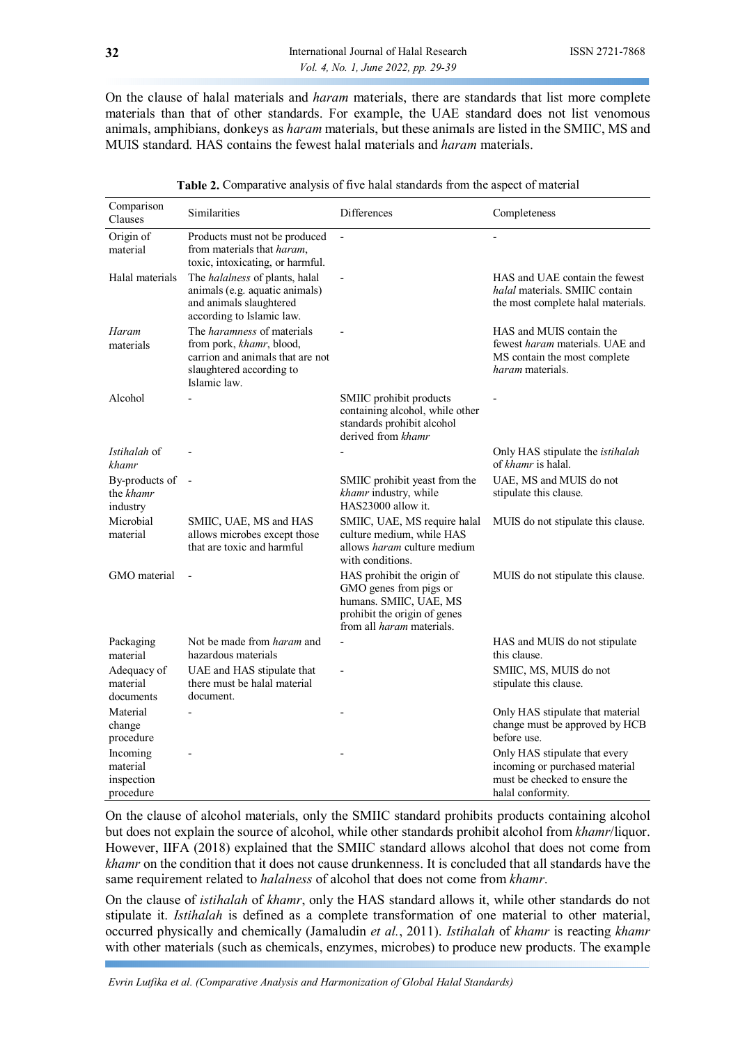On the clause of halal materials and *haram* materials, there are standards that list more complete materials than that of other standards. For example, the UAE standard does not list venomous animals, amphibians, donkeys as *haram* materials, but these animals are listed in the SMIIC, MS and MUIS standard. HAS contains the fewest halal materials and *haram* materials.

| Comparison<br>Clauses                           | Similarities                                                                                                                                  | Differences                                                                                                                                        | Completeness                                                                                                          |
|-------------------------------------------------|-----------------------------------------------------------------------------------------------------------------------------------------------|----------------------------------------------------------------------------------------------------------------------------------------------------|-----------------------------------------------------------------------------------------------------------------------|
| Origin of<br>material                           | Products must not be produced<br>from materials that haram,<br>toxic, intoxicating, or harmful.                                               | $\blacksquare$                                                                                                                                     | $\overline{a}$                                                                                                        |
| Halal materials                                 | The <i>halalness</i> of plants, halal<br>animals (e.g. aquatic animals)<br>and animals slaughtered<br>according to Islamic law.               |                                                                                                                                                    | HAS and UAE contain the fewest<br>halal materials. SMIIC contain<br>the most complete halal materials.                |
| Haram<br>materials                              | The <i>haramness</i> of materials<br>from pork, khamr, blood,<br>carrion and animals that are not<br>slaughtered according to<br>Islamic law. |                                                                                                                                                    | HAS and MUIS contain the<br>fewest haram materials. UAE and<br>MS contain the most complete<br>haram materials.       |
| Alcohol                                         |                                                                                                                                               | SMIIC prohibit products<br>containing alcohol, while other<br>standards prohibit alcohol<br>derived from khamr                                     |                                                                                                                       |
| Istihalah of<br>khamr                           |                                                                                                                                               |                                                                                                                                                    | Only HAS stipulate the <i>istihalah</i><br>of khamr is halal.                                                         |
| By-products of<br>the khamr<br>industry         |                                                                                                                                               | SMIIC prohibit yeast from the<br>khamr industry, while<br>HAS23000 allow it.                                                                       | UAE, MS and MUIS do not<br>stipulate this clause.                                                                     |
| Microbial<br>material                           | SMIIC, UAE, MS and HAS<br>allows microbes except those<br>that are toxic and harmful                                                          | SMIIC, UAE, MS require halal<br>culture medium, while HAS<br>allows <i>haram</i> culture medium<br>with conditions.                                | MUIS do not stipulate this clause.                                                                                    |
| GMO material                                    |                                                                                                                                               | HAS prohibit the origin of<br>GMO genes from pigs or<br>humans. SMIIC, UAE, MS<br>prohibit the origin of genes<br>from all <i>haram</i> materials. | MUIS do not stipulate this clause.                                                                                    |
| Packaging<br>material                           | Not be made from <i>haram</i> and<br>hazardous materials                                                                                      |                                                                                                                                                    | HAS and MUIS do not stipulate<br>this clause.                                                                         |
| Adequacy of<br>material<br>documents            | UAE and HAS stipulate that<br>there must be halal material<br>document.                                                                       |                                                                                                                                                    | SMIIC, MS, MUIS do not<br>stipulate this clause.                                                                      |
| Material<br>change<br>procedure                 |                                                                                                                                               |                                                                                                                                                    | Only HAS stipulate that material<br>change must be approved by HCB<br>before use.                                     |
| Incoming<br>material<br>inspection<br>procedure |                                                                                                                                               |                                                                                                                                                    | Only HAS stipulate that every<br>incoming or purchased material<br>must be checked to ensure the<br>halal conformity. |

**Table 2.** Comparative analysis of five halal standards from the aspect of material

On the clause of alcohol materials, only the SMIIC standard prohibits products containing alcohol but does not explain the source of alcohol, while other standards prohibit alcohol from *khamr*/liquor. However, IIFA (2018) explained that the SMIIC standard allows alcohol that does not come from *khamr* on the condition that it does not cause drunkenness. It is concluded that all standards have the same requirement related to *halalness* of alcohol that does not come from *khamr*.

On the clause of *istihalah* of *khamr*, only the HAS standard allows it, while other standards do not stipulate it. *Istihalah* is defined as a complete transformation of one material to other material, occurred physically and chemically (Jamaludin *et al.*, 2011). *Istihalah* of *khamr* is reacting *khamr* with other materials (such as chemicals, enzymes, microbes) to produce new products. The example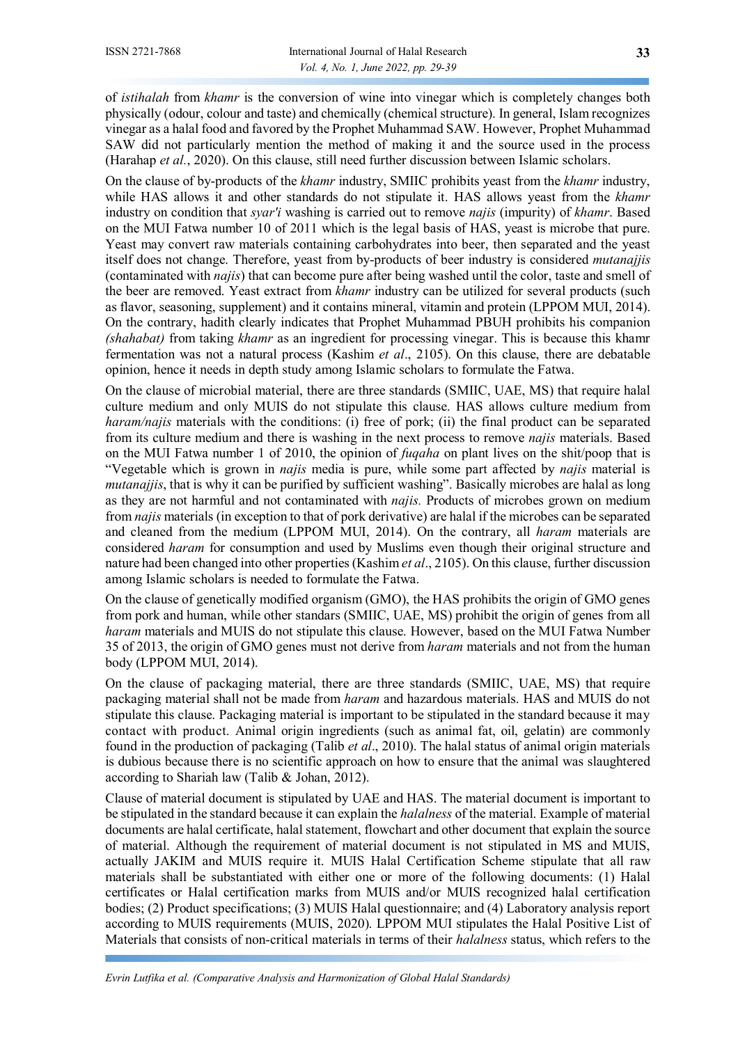of *istihalah* from *khamr* is the conversion of wine into vinegar which is completely changes both physically (odour, colour and taste) and chemically (chemical structure). In general, Islam recognizes vinegar as a halal food and favored by the Prophet Muhammad SAW. However, Prophet Muhammad SAW did not particularly mention the method of making it and the source used in the process (Harahap *et al.*, 2020). On this clause, still need further discussion between Islamic scholars.

On the clause of by-products of the *khamr* industry, SMIIC prohibits yeast from the *khamr* industry, while HAS allows it and other standards do not stipulate it. HAS allows yeast from the *khamr* industry on condition that *syar'i* washing is carried out to remove *najis* (impurity) of *khamr*. Based on the MUI Fatwa number 10 of 2011 which is the legal basis of HAS, yeast is microbe that pure. Yeast may convert raw materials containing carbohydrates into beer, then separated and the yeast itself does not change. Therefore, yeast from by-products of beer industry is considered *mutanajjis* (contaminated with *najis*) that can become pure after being washed until the color, taste and smell of the beer are removed. Yeast extract from *khamr* industry can be utilized for several products (such as flavor, seasoning, supplement) and it contains mineral, vitamin and protein (LPPOM MUI, 2014). On the contrary, hadith clearly indicates that Prophet Muhammad PBUH prohibits his companion *(shahabat)* from taking *khamr* as an ingredient for processing vinegar. This is because this khamr fermentation was not a natural process (Kashim *et al*., 2105). On this clause, there are debatable opinion, hence it needs in depth study among Islamic scholars to formulate the Fatwa.

On the clause of microbial material, there are three standards (SMIIC, UAE, MS) that require halal culture medium and only MUIS do not stipulate this clause. HAS allows culture medium from *haram/najis* materials with the conditions: (i) free of pork; (ii) the final product can be separated from its culture medium and there is washing in the next process to remove *najis* materials. Based on the MUI Fatwa number 1 of 2010, the opinion of *fuqaha* on plant lives on the shit/poop that is "Vegetable which is grown in *najis* media is pure, while some part affected by *najis* material is *mutanajjis*, that is why it can be purified by sufficient washing". Basically microbes are halal as long as they are not harmful and not contaminated with *najis.* Products of microbes grown on medium from *najis* materials (in exception to that of pork derivative) are halal if the microbes can be separated and cleaned from the medium (LPPOM MUI, 2014). On the contrary, all *haram* materials are considered *haram* for consumption and used by Muslims even though their original structure and nature had been changed into other properties (Kashim *et al*., 2105). On this clause, further discussion among Islamic scholars is needed to formulate the Fatwa.

On the clause of genetically modified organism (GMO), the HAS prohibits the origin of GMO genes from pork and human, while other standars (SMIIC, UAE, MS) prohibit the origin of genes from all *haram* materials and MUIS do not stipulate this clause. However, based on the MUI Fatwa Number 35 of 2013, the origin of GMO genes must not derive from *haram* materials and not from the human body (LPPOM MUI, 2014).

On the clause of packaging material, there are three standards (SMIIC, UAE, MS) that require packaging material shall not be made from *haram* and hazardous materials. HAS and MUIS do not stipulate this clause. Packaging material is important to be stipulated in the standard because it may contact with product. Animal origin ingredients (such as animal fat, oil, gelatin) are commonly found in the production of packaging (Talib *et al*., 2010). The halal status of animal origin materials is dubious because there is no scientific approach on how to ensure that the animal was slaughtered according to Shariah law (Talib & Johan, 2012).

Clause of material document is stipulated by UAE and HAS. The material document is important to be stipulated in the standard because it can explain the *halalness* of the material. Example of material documents are halal certificate, halal statement, flowchart and other document that explain the source of material. Although the requirement of material document is not stipulated in MS and MUIS, actually JAKIM and MUIS require it. MUIS Halal Certification Scheme stipulate that all raw materials shall be substantiated with either one or more of the following documents: (1) Halal certificates or Halal certification marks from MUIS and/or MUIS recognized halal certification bodies; (2) Product specifications; (3) MUIS Halal questionnaire; and (4) Laboratory analysis report according to MUIS requirements (MUIS, 2020). LPPOM MUI stipulates the Halal Positive List of Materials that consists of non-critical materials in terms of their *halalness* status, which refers to the

*Evrin Lutfika et al. (Comparative Analysis and Harmonization of Global Halal Standards)*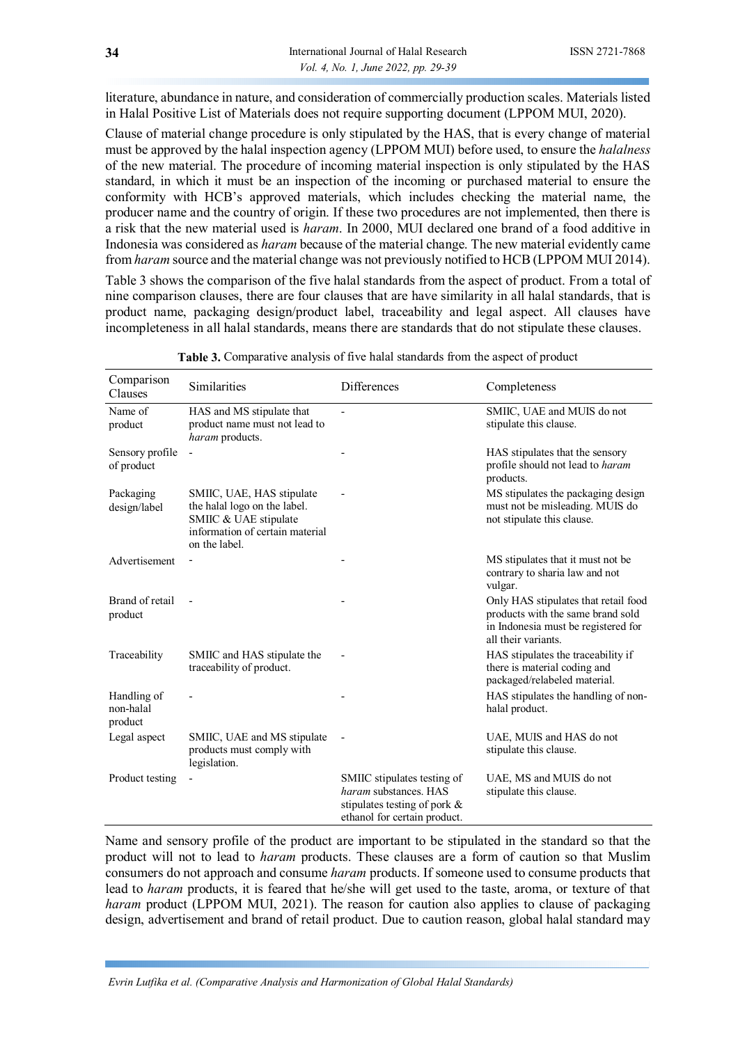literature, abundance in nature, and consideration of commercially production scales. Materials listed in Halal Positive List of Materials does not require supporting document (LPPOM MUI, 2020).

Clause of material change procedure is only stipulated by the HAS, that is every change of material must be approved by the halal inspection agency (LPPOM MUI) before used, to ensure the *halalness* of the new material. The procedure of incoming material inspection is only stipulated by the HAS standard, in which it must be an inspection of the incoming or purchased material to ensure the conformity with HCB's approved materials, which includes checking the material name, the producer name and the country of origin. If these two procedures are not implemented, then there is a risk that the new material used is *haram*. In 2000, MUI declared one brand of a food additive in Indonesia was considered as *haram* because of the material change. The new material evidently came from *haram* source and the material change was not previously notified to HCB (LPPOM MUI 2014).

Table 3 shows the comparison of the five halal standards from the aspect of product. From a total of nine comparison clauses, there are four clauses that are have similarity in all halal standards, that is product name, packaging design/product label, traceability and legal aspect. All clauses have incompleteness in all halal standards, means there are standards that do not stipulate these clauses.

| Comparison<br>Clauses               | Similarities                                                                                                                           | <b>Differences</b>                                                                                                   | Completeness                                                                                                                            |
|-------------------------------------|----------------------------------------------------------------------------------------------------------------------------------------|----------------------------------------------------------------------------------------------------------------------|-----------------------------------------------------------------------------------------------------------------------------------------|
| Name of<br>product                  | HAS and MS stipulate that<br>product name must not lead to<br>haram products.                                                          |                                                                                                                      | SMIIC, UAE and MUIS do not<br>stipulate this clause.                                                                                    |
| Sensory profile<br>of product       |                                                                                                                                        |                                                                                                                      | HAS stipulates that the sensory<br>profile should not lead to haram<br>products.                                                        |
| Packaging<br>design/label           | SMIIC, UAE, HAS stipulate<br>the halal logo on the label.<br>SMIIC & UAE stipulate<br>information of certain material<br>on the label. |                                                                                                                      | MS stipulates the packaging design<br>must not be misleading. MUIS do<br>not stipulate this clause.                                     |
| Advertisement                       |                                                                                                                                        |                                                                                                                      | MS stipulates that it must not be<br>contrary to sharia law and not<br>vulgar.                                                          |
| Brand of retail<br>product          |                                                                                                                                        |                                                                                                                      | Only HAS stipulates that retail food<br>products with the same brand sold<br>in Indonesia must be registered for<br>all their variants. |
| Traceability                        | SMIIC and HAS stipulate the<br>traceability of product.                                                                                |                                                                                                                      | HAS stipulates the traceability if<br>there is material coding and<br>packaged/relabeled material.                                      |
| Handling of<br>non-halal<br>product |                                                                                                                                        |                                                                                                                      | HAS stipulates the handling of non-<br>halal product.                                                                                   |
| Legal aspect                        | SMIIC, UAE and MS stipulate<br>products must comply with<br>legislation.                                                               |                                                                                                                      | UAE, MUIS and HAS do not<br>stipulate this clause.                                                                                      |
| Product testing                     |                                                                                                                                        | SMIIC stipulates testing of<br>haram substances. HAS<br>stipulates testing of pork &<br>ethanol for certain product. | UAE, MS and MUIS do not<br>stipulate this clause.                                                                                       |

**Table 3.** Comparative analysis of five halal standards from the aspect of product

Name and sensory profile of the product are important to be stipulated in the standard so that the product will not to lead to *haram* products. These clauses are a form of caution so that Muslim consumers do not approach and consume *haram* products. If someone used to consume products that lead to *haram* products, it is feared that he/she will get used to the taste, aroma, or texture of that *haram* product (LPPOM MUI, 2021). The reason for caution also applies to clause of packaging design, advertisement and brand of retail product. Due to caution reason, global halal standard may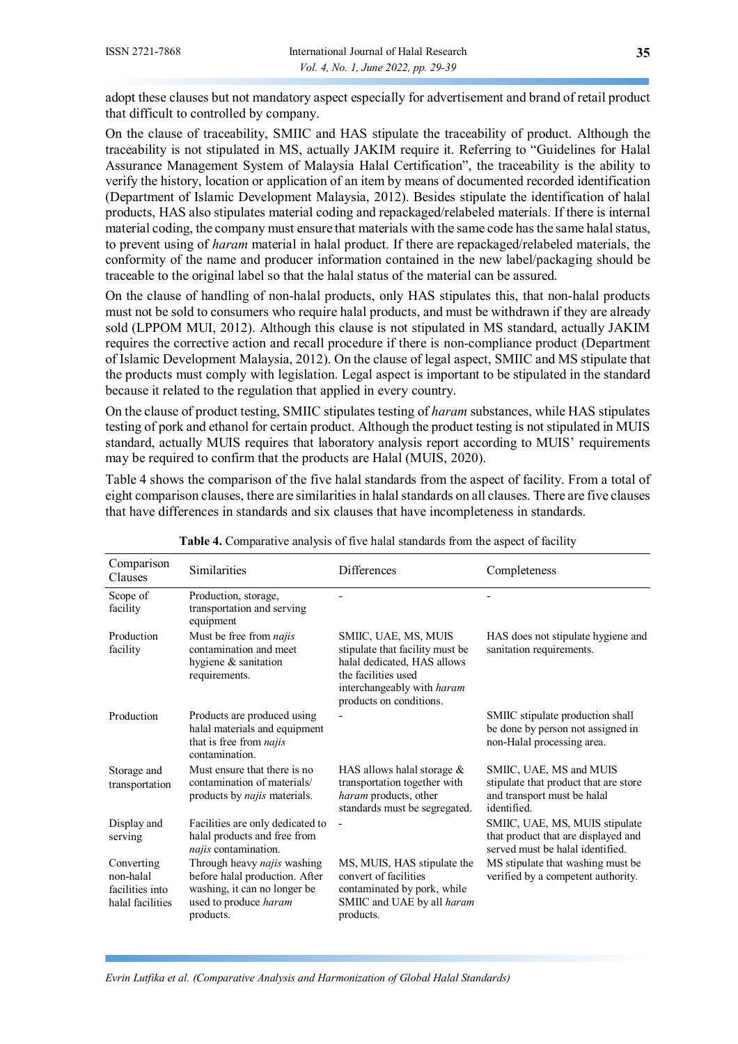adopt these clauses but not mandatory aspect especially for advertisement and brand of retail product that difficult to controlled by company.

On the clause of traceability, SMIIC and HAS stipulate the traceability of product. Although the traceability is not stipulated in MS, actually JAKIM require it. Referring to "Guidelines for Halal Assurance Management System of Malaysia Halal Certification", the traceability is the ability to verify the history, location or application of an item by means of documented recorded identification (Department of Islamic Development Malaysia, 2012). Besides stipulate the identification of halal products, HAS also stipulates material coding and repackaged/relabeled materials. If there is internal material coding, the company must ensure that materials with the same code has the same halal status, to prevent using of *haram* material in halal product. If there are repackaged/relabeled materials, the conformity of the name and producer information contained in the new label/packaging should be traceable to the original label so that the halal status of the material can be assured.

On the clause of handling of non-halal products, only HAS stipulates this, that non-halal products must not be sold to consumers who require halal products, and must be withdrawn if they are already sold (LPPOM MUI, 2012). Although this clause is not stipulated in MS standard, actually JAKIM requires the corrective action and recall procedure if there is non-compliance product (Department of Islamic Development Malaysia, 2012). On the clause of legal aspect, SMIIC and MS stipulate that the products must comply with legislation. Legal aspect is important to be stipulated in the standard because it related to the regulation that applied in every country.

On the clause of product testing, SMIIC stipulates testing of *haram* substances, while HAS stipulates testing of pork and ethanol for certain product. Although the product testing is not stipulated in MUIS standard, actually MUIS requires that laboratory analysis report according to MUIS' requirements may be required to confirm that the products are Halal (MUIS, 2020).

Table 4 shows the comparison of the five halal standards from the aspect of facility. From a total of eight comparison clauses, there are similarities in halal standards on all clauses. There are five clauses that have differences in standards and six clauses that have incompleteness in standards.

| Comparison<br>Clauses                                          | Similarities                                                                                                                        | Differences                                                                                                                                                            | Completeness                                                                                                   |
|----------------------------------------------------------------|-------------------------------------------------------------------------------------------------------------------------------------|------------------------------------------------------------------------------------------------------------------------------------------------------------------------|----------------------------------------------------------------------------------------------------------------|
| Scope of<br>facility                                           | Production, storage,<br>transportation and serving<br>equipment                                                                     |                                                                                                                                                                        |                                                                                                                |
| Production<br>facility                                         | Must be free from <i>najis</i><br>contamination and meet<br>hygiene & sanitation<br>requirements.                                   | SMIIC, UAE, MS, MUIS<br>stipulate that facility must be<br>halal dedicated, HAS allows<br>the facilities used<br>interchangeably with haram<br>products on conditions. | HAS does not stipulate hygiene and<br>sanitation requirements.                                                 |
| Production                                                     | Products are produced using<br>halal materials and equipment<br>that is free from najis<br>contamination.                           |                                                                                                                                                                        | SMIIC stipulate production shall<br>be done by person not assigned in<br>non-Halal processing area.            |
| Storage and<br>transportation                                  | Must ensure that there is no<br>contamination of materials/<br>products by <i>najis</i> materials.                                  | HAS allows halal storage $&$<br>transportation together with<br>haram products, other<br>standards must be segregated.                                                 | SMIIC, UAE, MS and MUIS<br>stipulate that product that are store<br>and transport must be halal<br>identified. |
| Display and<br>serving                                         | Facilities are only dedicated to<br>halal products and free from<br>najis contamination.                                            |                                                                                                                                                                        | SMIIC, UAE, MS, MUIS stipulate<br>that product that are displayed and<br>served must be halal identified.      |
| Converting<br>non-halal<br>facilities into<br>halal facilities | Through heavy najis washing<br>before halal production. After<br>washing, it can no longer be<br>used to produce haram<br>products. | MS, MUIS, HAS stipulate the<br>convert of facilities<br>contaminated by pork, while<br>SMIIC and UAE by all haram<br>products.                                         | MS stipulate that washing must be<br>verified by a competent authority.                                        |

**Table 4.** Comparative analysis of five halal standards from the aspect of facility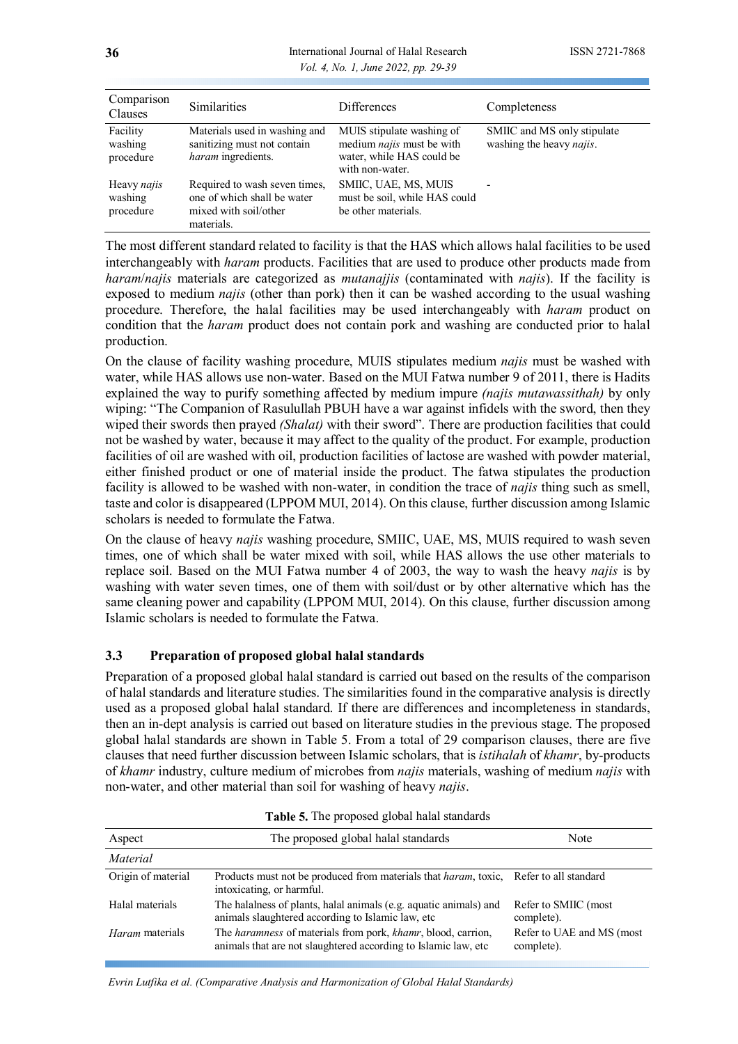#### **36** International Journal of Halal Research ISSN 2721-7868 *Vol. 4, No. 1, June 2022, pp. 29-39*

| Comparison<br>Clauses               | <b>Similarities</b>                                                                                 | <b>Differences</b>                                                                                     | Completeness                                                    |
|-------------------------------------|-----------------------------------------------------------------------------------------------------|--------------------------------------------------------------------------------------------------------|-----------------------------------------------------------------|
| Facility<br>washing<br>procedure    | Materials used in washing and<br>sanitizing must not contain<br>haram ingredients.                  | MUIS stipulate washing of<br>medium najis must be with<br>water, while HAS could be<br>with non-water. | SMIIC and MS only stipulate<br>washing the heavy <i>najis</i> . |
| Heavy najis<br>washing<br>procedure | Required to wash seven times,<br>one of which shall be water<br>mixed with soil/other<br>materials. | SMIIC, UAE, MS, MUIS<br>must be soil, while HAS could<br>be other materials.                           |                                                                 |

The most different standard related to facility is that the HAS which allows halal facilities to be used interchangeably with *haram* products. Facilities that are used to produce other products made from *haram*/*najis* materials are categorized as *mutanajjis* (contaminated with *najis*). If the facility is exposed to medium *najis* (other than pork) then it can be washed according to the usual washing procedure. Therefore, the halal facilities may be used interchangeably with *haram* product on condition that the *haram* product does not contain pork and washing are conducted prior to halal production.

On the clause of facility washing procedure, MUIS stipulates medium *najis* must be washed with water, while HAS allows use non-water. Based on the MUI Fatwa number 9 of 2011, there is Hadits explained the way to purify something affected by medium impure *(najis mutawassithah)* by only wiping: "The Companion of Rasulullah PBUH have a war against infidels with the sword, then they wiped their swords then prayed *(Shalat)* with their sword". There are production facilities that could not be washed by water, because it may affect to the quality of the product. For example, production facilities of oil are washed with oil, production facilities of lactose are washed with powder material, either finished product or one of material inside the product. The fatwa stipulates the production facility is allowed to be washed with non-water, in condition the trace of *najis* thing such as smell, taste and color is disappeared (LPPOM MUI, 2014). On this clause, further discussion among Islamic scholars is needed to formulate the Fatwa.

On the clause of heavy *najis* washing procedure, SMIIC, UAE, MS, MUIS required to wash seven times, one of which shall be water mixed with soil, while HAS allows the use other materials to replace soil. Based on the MUI Fatwa number 4 of 2003, the way to wash the heavy *najis* is by washing with water seven times, one of them with soil/dust or by other alternative which has the same cleaning power and capability (LPPOM MUI, 2014). On this clause, further discussion among Islamic scholars is needed to formulate the Fatwa.

# **3.3 Preparation of proposed global halal standards**

Preparation of a proposed global halal standard is carried out based on the results of the comparison of halal standards and literature studies. The similarities found in the comparative analysis is directly used as a proposed global halal standard. If there are differences and incompleteness in standards, then an in-dept analysis is carried out based on literature studies in the previous stage. The proposed global halal standards are shown in Table 5. From a total of 29 comparison clauses, there are five clauses that need further discussion between Islamic scholars, that is *istihalah* of *khamr*, by-products of *khamr* industry, culture medium of microbes from *najis* materials, washing of medium *najis* with non-water, and other material than soil for washing of heavy *najis*.

| Aspect                 | The proposed global halal standards                                                                                            | Note                                    |
|------------------------|--------------------------------------------------------------------------------------------------------------------------------|-----------------------------------------|
| Material               |                                                                                                                                |                                         |
| Origin of material     | Products must not be produced from materials that <i>haram</i> , toxic, Refer to all standard<br>intoxicating, or harmful.     |                                         |
| Halal materials        | The halalness of plants, halal animals (e.g. aquatic animals) and<br>animals slaughtered according to Islamic law, etc.        | Refer to SMIIC (most<br>complete).      |
| <i>Haram</i> materials | The haramness of materials from pork, khamr, blood, carrion,<br>animals that are not slaughtered according to Islamic law, etc | Refer to UAE and MS (most<br>complete). |

|  | Table 5. The proposed global halal standards |  |  |
|--|----------------------------------------------|--|--|
|--|----------------------------------------------|--|--|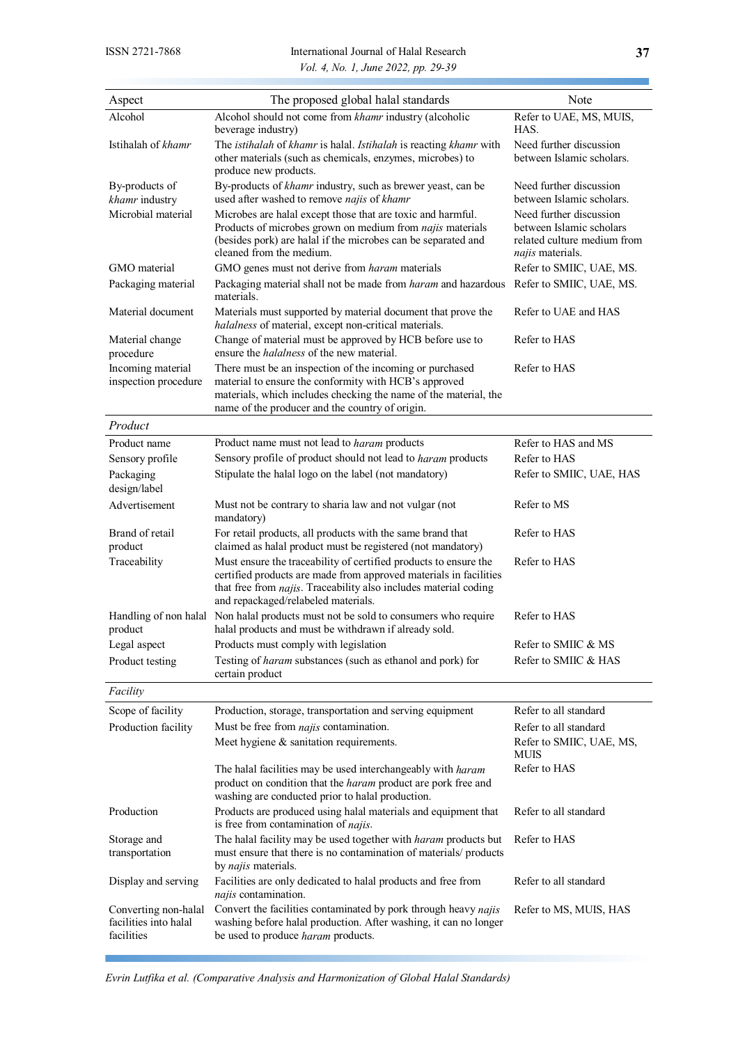| Aspect                                                      | The proposed global halal standards                                                                                                                                                                                                              | Note                                                                                                   |
|-------------------------------------------------------------|--------------------------------------------------------------------------------------------------------------------------------------------------------------------------------------------------------------------------------------------------|--------------------------------------------------------------------------------------------------------|
| Alcohol                                                     | Alcohol should not come from khamr industry (alcoholic<br>beverage industry)                                                                                                                                                                     | Refer to UAE, MS, MUIS,<br>HAS.                                                                        |
| Istihalah of khamr                                          | The istihalah of khamr is halal. Istihalah is reacting khamr with<br>other materials (such as chemicals, enzymes, microbes) to<br>produce new products.                                                                                          | Need further discussion<br>between Islamic scholars.                                                   |
| By-products of<br>khamr industry                            | By-products of khamr industry, such as brewer yeast, can be<br>used after washed to remove najis of khamr                                                                                                                                        | Need further discussion<br>between Islamic scholars.                                                   |
| Microbial material                                          | Microbes are halal except those that are toxic and harmful.<br>Products of microbes grown on medium from najis materials<br>(besides pork) are halal if the microbes can be separated and<br>cleaned from the medium.                            | Need further discussion<br>between Islamic scholars<br>related culture medium from<br>najis materials. |
| GMO material<br>Packaging material                          | GMO genes must not derive from haram materials<br>Packaging material shall not be made from haram and hazardous Refer to SMIIC, UAE, MS.<br>materials.                                                                                           | Refer to SMIIC, UAE, MS.                                                                               |
| Material document                                           | Materials must supported by material document that prove the<br>halalness of material, except non-critical materials.                                                                                                                            | Refer to UAE and HAS                                                                                   |
| Material change<br>procedure                                | Change of material must be approved by HCB before use to<br>ensure the <i>halalness</i> of the new material.                                                                                                                                     | Refer to HAS                                                                                           |
| Incoming material<br>inspection procedure                   | There must be an inspection of the incoming or purchased<br>material to ensure the conformity with HCB's approved<br>materials, which includes checking the name of the material, the<br>name of the producer and the country of origin.         | Refer to HAS                                                                                           |
| Product                                                     |                                                                                                                                                                                                                                                  |                                                                                                        |
| Product name                                                | Product name must not lead to haram products                                                                                                                                                                                                     | Refer to HAS and MS                                                                                    |
| Sensory profile                                             | Sensory profile of product should not lead to haram products                                                                                                                                                                                     | Refer to HAS                                                                                           |
| Packaging<br>design/label                                   | Stipulate the halal logo on the label (not mandatory)                                                                                                                                                                                            | Refer to SMIIC, UAE, HAS                                                                               |
| Advertisement                                               | Must not be contrary to sharia law and not vulgar (not<br>mandatory)                                                                                                                                                                             | Refer to MS                                                                                            |
| Brand of retail<br>product                                  | For retail products, all products with the same brand that<br>claimed as halal product must be registered (not mandatory)                                                                                                                        | Refer to HAS                                                                                           |
| Traceability                                                | Must ensure the traceability of certified products to ensure the<br>certified products are made from approved materials in facilities<br>that free from najis. Traceability also includes material coding<br>and repackaged/relabeled materials. | Refer to HAS                                                                                           |
| Handling of non halal<br>product                            | Non halal products must not be sold to consumers who require<br>halal products and must be withdrawn if already sold.                                                                                                                            | Refer to HAS                                                                                           |
| Legal aspect                                                | Products must comply with legislation                                                                                                                                                                                                            | Refer to SMIIC & MS                                                                                    |
| Product testing                                             | Testing of haram substances (such as ethanol and pork) for<br>certain product                                                                                                                                                                    | Refer to SMIIC & HAS                                                                                   |
| Facility                                                    |                                                                                                                                                                                                                                                  |                                                                                                        |
| Scope of facility                                           | Production, storage, transportation and serving equipment                                                                                                                                                                                        | Refer to all standard                                                                                  |
| Production facility                                         | Must be free from <i>najis</i> contamination.                                                                                                                                                                                                    | Refer to all standard                                                                                  |
|                                                             | Meet hygiene & sanitation requirements.                                                                                                                                                                                                          | Refer to SMIIC, UAE, MS,<br>MUIS                                                                       |
|                                                             | The halal facilities may be used interchangeably with haram<br>product on condition that the haram product are pork free and<br>washing are conducted prior to halal production.                                                                 | Refer to HAS                                                                                           |
| Production                                                  | Products are produced using halal materials and equipment that<br>is free from contamination of najis.                                                                                                                                           | Refer to all standard                                                                                  |
| Storage and<br>transportation                               | The halal facility may be used together with haram products but<br>must ensure that there is no contamination of materials/ products<br>by najis materials.                                                                                      | Refer to HAS                                                                                           |
| Display and serving                                         | Facilities are only dedicated to halal products and free from<br>najis contamination.                                                                                                                                                            | Refer to all standard                                                                                  |
| Converting non-halal<br>facilities into halal<br>facilities | Convert the facilities contaminated by pork through heavy najis<br>washing before halal production. After washing, it can no longer<br>be used to produce haram products.                                                                        | Refer to MS, MUIS, HAS                                                                                 |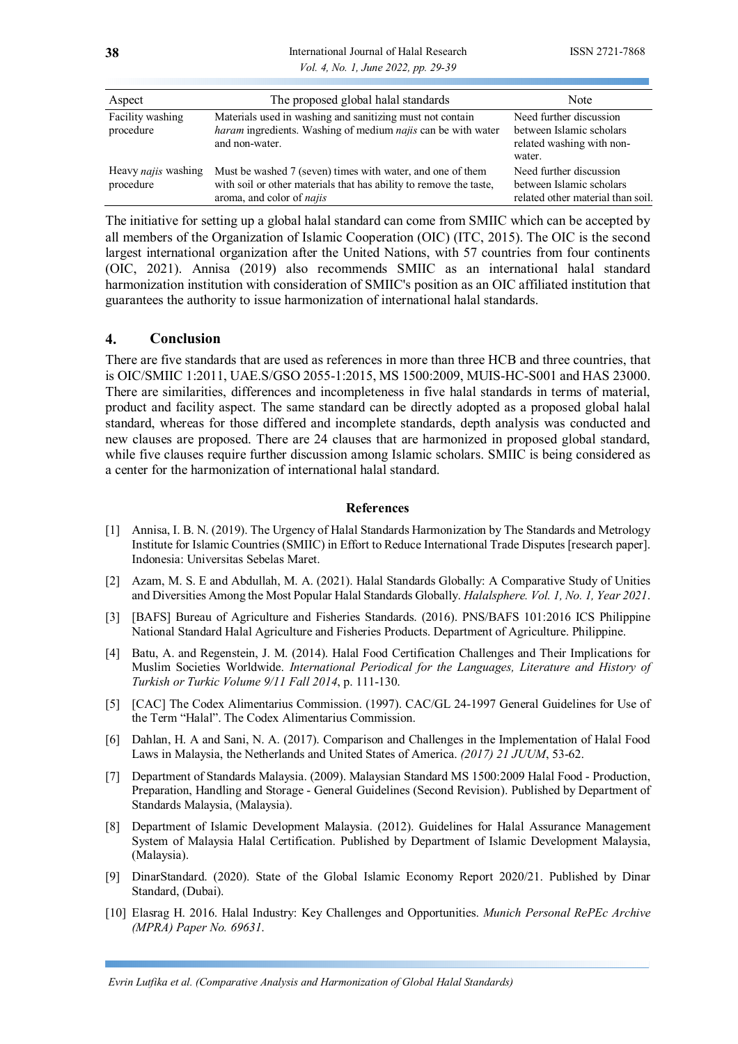**38** International Journal of Halal Research ISSN 2721-7868 *Vol. 4, No. 1, June 2022, pp. 29-39*

| Aspect                           | The proposed global halal standards                                                                                                                                  | Note                                                                                       |
|----------------------------------|----------------------------------------------------------------------------------------------------------------------------------------------------------------------|--------------------------------------------------------------------------------------------|
| Facility washing<br>procedure    | Materials used in washing and sanitizing must not contain<br>haram ingredients. Washing of medium najis can be with water<br>and non-water.                          | Need further discussion<br>between Islamic scholars<br>related washing with non-<br>water. |
| Heavy najis washing<br>procedure | Must be washed 7 (seven) times with water, and one of them<br>with soil or other materials that has ability to remove the taste,<br>aroma, and color of <i>najis</i> | Need further discussion<br>between Islamic scholars<br>related other material than soil.   |

The initiative for setting up a global halal standard can come from SMIIC which can be accepted by all members of the Organization of Islamic Cooperation (OIC) (ITC, 2015). The OIC is the second largest international organization after the United Nations, with 57 countries from four continents (OIC, 2021). Annisa (2019) also recommends SMIIC as an international halal standard harmonization institution with consideration of SMIIC's position as an OIC affiliated institution that guarantees the authority to issue harmonization of international halal standards.

#### **4. Conclusion**

There are five standards that are used as references in more than three HCB and three countries, that is OIC/SMIIC 1:2011, UAE.S/GSO 2055-1:2015, MS 1500:2009, MUIS-HC-S001 and HAS 23000. There are similarities, differences and incompleteness in five halal standards in terms of material, product and facility aspect. The same standard can be directly adopted as a proposed global halal standard, whereas for those differed and incomplete standards, depth analysis was conducted and new clauses are proposed. There are 24 clauses that are harmonized in proposed global standard, while five clauses require further discussion among Islamic scholars. SMIIC is being considered as a center for the harmonization of international halal standard.

#### **References**

- [1] Annisa, I. B. N. (2019). The Urgency of Halal Standards Harmonization by The Standards and Metrology Institute for Islamic Countries (SMIIC) in Effort to Reduce International Trade Disputes [research paper]. Indonesia: Universitas Sebelas Maret.
- [2] Azam, M. S. E and Abdullah, M. A. (2021). Halal Standards Globally: A Comparative Study of Unities and Diversities Among the Most Popular Halal Standards Globally. *Halalsphere. Vol. 1, No. 1, Year 2021*.
- [3] [BAFS] Bureau of Agriculture and Fisheries Standards. (2016). PNS/BAFS 101:2016 ICS Philippine National Standard Halal Agriculture and Fisheries Products. Department of Agriculture. Philippine.
- [4] Batu, A. and Regenstein, J. M. (2014). Halal Food Certification Challenges and Their Implications for Muslim Societies Worldwide. *International Periodical for the Languages, Literature and History of Turkish or Turkic Volume 9/11 Fall 2014*, p. 111-130.
- [5] [CAC] The Codex Alimentarius Commission. (1997). CAC/GL 24-1997 General Guidelines for Use of the Term "Halal". The Codex Alimentarius Commission.
- [6] Dahlan, H. A and Sani, N. A. (2017). Comparison and Challenges in the Implementation of Halal Food Laws in Malaysia, the Netherlands and United States of America. *(2017) 21 JUUM*, 53-62.
- [7] Department of Standards Malaysia. (2009). Malaysian Standard MS 1500:2009 Halal Food Production, Preparation, Handling and Storage - General Guidelines (Second Revision). Published by Department of Standards Malaysia, (Malaysia).
- [8] Department of Islamic Development Malaysia. (2012). Guidelines for Halal Assurance Management System of Malaysia Halal Certification. Published by Department of Islamic Development Malaysia, (Malaysia).
- [9] DinarStandard. (2020). State of the Global Islamic Economy Report 2020/21. Published by Dinar Standard, (Dubai).
- [10] Elasrag H. 2016. Halal Industry: Key Challenges and Opportunities. *Munich Personal RePEc Archive (MPRA) Paper No. 69631*.